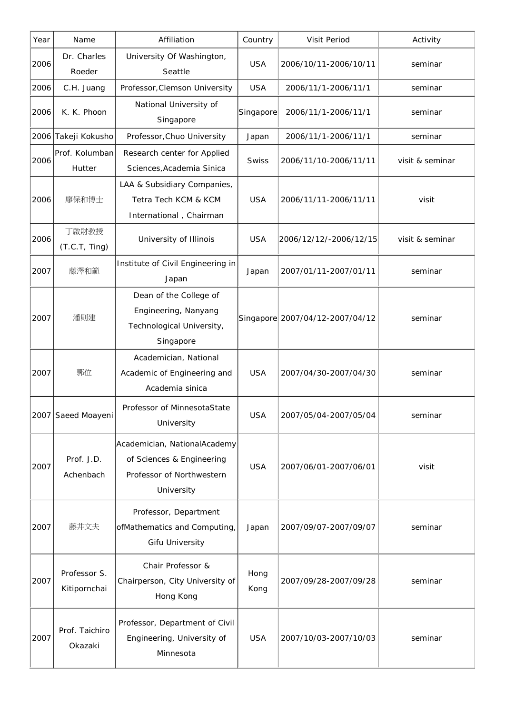| Year | Name                         | Affiliation                                                                                          | Country      | Visit Period                    | Activity        |
|------|------------------------------|------------------------------------------------------------------------------------------------------|--------------|---------------------------------|-----------------|
| 2006 | Dr. Charles<br>Roeder        | University Of Washington,<br>Seattle                                                                 | <b>USA</b>   | 2006/10/11-2006/10/11           | seminar         |
| 2006 | C.H. Juang                   | Professor, Clemson University                                                                        | <b>USA</b>   | 2006/11/1-2006/11/1             | seminar         |
| 2006 | K. K. Phoon                  | National University of<br>Singapore                                                                  | Singapore    | 2006/11/1-2006/11/1             | seminar         |
| 2006 | Takeji Kokusho               | Professor, Chuo University                                                                           | Japan        | 2006/11/1-2006/11/1             | seminar         |
| 2006 | Prof. Kolumban<br>Hutter     | Research center for Applied<br>Sciences, Academia Sinica                                             | Swiss        | 2006/11/10-2006/11/11           | visit & seminar |
| 2006 | 廖保和博士                        | LAA & Subsidiary Companies,<br>Tetra Tech KCM & KCM<br>International, Chairman                       | <b>USA</b>   | 2006/11/11-2006/11/11           | visit           |
| 2006 | 丁啟財教授<br>(T.C.T, Ting)       | University of Illinois                                                                               | <b>USA</b>   | 2006/12/12/-2006/12/15          | visit & seminar |
| 2007 | 藤澤和範                         | Institute of Civil Engineering in<br>Japan                                                           | Japan        | 2007/01/11-2007/01/11           | seminar         |
| 2007 | 潘則建                          | Dean of the College of<br>Engineering, Nanyang<br>Technological University,<br>Singapore             |              | Singapore 2007/04/12-2007/04/12 | seminar         |
| 2007 | 郭位                           | Academician, National<br>Academic of Engineering and<br>Academia sinica                              | <b>USA</b>   | 2007/04/30-2007/04/30           | seminar         |
|      | 2007 Saeed Moayeni           | Professor of MinnesotaState<br>University                                                            | <b>USA</b>   | 2007/05/04-2007/05/04           | seminar         |
| 2007 | Prof. J.D.<br>Achenbach      | Academician, NationalAcademy<br>of Sciences & Engineering<br>Professor of Northwestern<br>University | <b>USA</b>   | 2007/06/01-2007/06/01           | visit           |
| 2007 | 藤井文夫                         | Professor, Department<br>ofMathematics and Computing,<br><b>Gifu University</b>                      | Japan        | 2007/09/07-2007/09/07           | seminar         |
| 2007 | Professor S.<br>Kitipornchai | Chair Professor &<br>Chairperson, City University of<br>Hong Kong                                    | Hong<br>Kong | 2007/09/28-2007/09/28           | seminar         |
| 2007 | Prof. Taichiro<br>Okazaki    | Professor, Department of Civil<br>Engineering, University of<br>Minnesota                            | <b>USA</b>   | 2007/10/03-2007/10/03           | seminar         |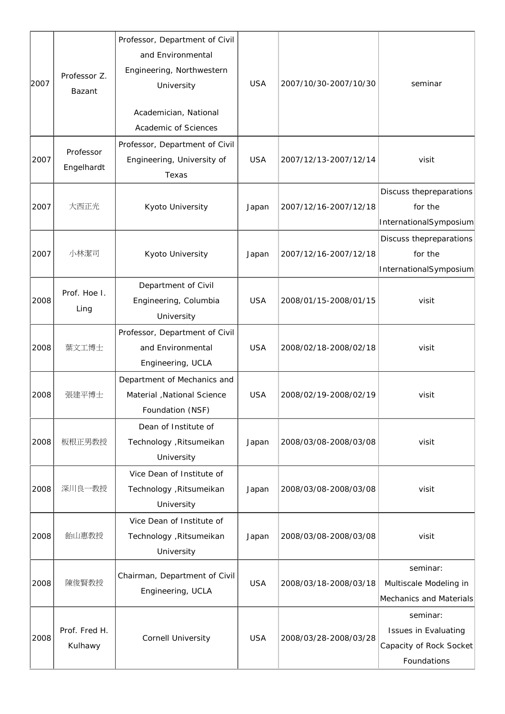| 2007 | Professor Z.<br>Bazant   | Professor, Department of Civil<br>and Environmental<br>Engineering, Northwestern<br>University<br>Academician, National<br>Academic of Sciences | <b>USA</b> | 2007/10/30-2007/10/30 | seminar                                                                    |
|------|--------------------------|-------------------------------------------------------------------------------------------------------------------------------------------------|------------|-----------------------|----------------------------------------------------------------------------|
| 2007 | Professor<br>Engelhardt  | Professor, Department of Civil<br>Engineering, University of<br>Texas                                                                           | <b>USA</b> | 2007/12/13-2007/12/14 | visit                                                                      |
| 2007 | 大西正光                     | Kyoto University                                                                                                                                | Japan      | 2007/12/16-2007/12/18 | Discuss thepreparations<br>for the<br>InternationalSymposium               |
| 2007 | 小林潔司                     | Kyoto University                                                                                                                                | Japan      | 2007/12/16-2007/12/18 | Discuss thepreparations<br>for the<br>InternationalSymposium               |
| 2008 | Prof. Hoe I.<br>Ling     | Department of Civil<br>Engineering, Columbia<br>University                                                                                      | <b>USA</b> | 2008/01/15-2008/01/15 | visit                                                                      |
| 2008 | 葉文工博士                    | Professor, Department of Civil<br>and Environmental<br>Engineering, UCLA                                                                        | <b>USA</b> | 2008/02/18-2008/02/18 | visit                                                                      |
| 2008 | 張建平博士                    | Department of Mechanics and<br>Material , National Science<br>Foundation (NSF)                                                                  | <b>USA</b> | 2008/02/19-2008/02/19 | visit                                                                      |
| 2008 | 板根正男教授                   | Dean of Institute of<br>Technology , Ritsumeikan<br>University                                                                                  | Japan      | 2008/03/08-2008/03/08 | visit                                                                      |
| 2008 | 深川良一教授                   | Vice Dean of Institute of<br>Technology , Ritsumeikan<br>University                                                                             | Japan      | 2008/03/08-2008/03/08 | visit                                                                      |
| 2008 | 飴山惠教授                    | Vice Dean of Institute of<br>Technology , Ritsumeikan<br>University                                                                             | Japan      | 2008/03/08-2008/03/08 | visit                                                                      |
| 2008 | 陳俊賢教授                    | Chairman, Department of Civil<br>Engineering, UCLA                                                                                              | <b>USA</b> | 2008/03/18-2008/03/18 | seminar:<br>Multiscale Modeling in<br>Mechanics and Materials              |
| 2008 | Prof. Fred H.<br>Kulhawy | Cornell University                                                                                                                              | <b>USA</b> | 2008/03/28-2008/03/28 | seminar:<br>Issues in Evaluating<br>Capacity of Rock Socket<br>Foundations |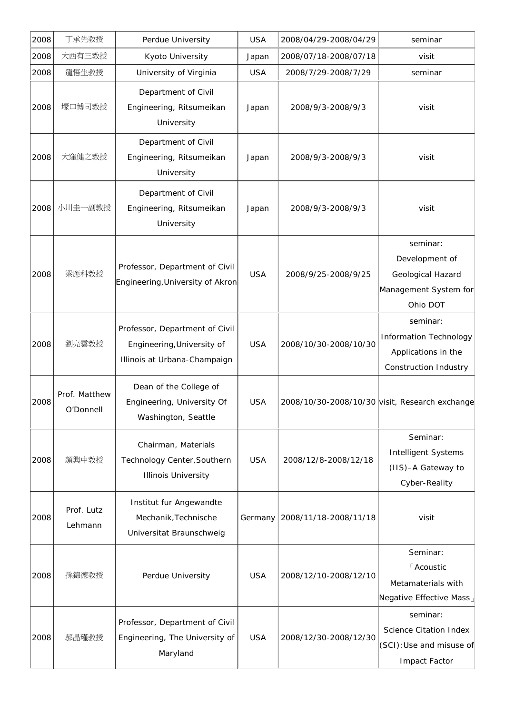| 2008 | 丁承先教授                      | Perdue University                                                                            | <b>USA</b> | 2008/04/29-2008/04/29                          | seminar                                                                                   |
|------|----------------------------|----------------------------------------------------------------------------------------------|------------|------------------------------------------------|-------------------------------------------------------------------------------------------|
| 2008 | 大西有三教授                     | Kyoto University                                                                             | Japan      | 2008/07/18-2008/07/18                          | visit                                                                                     |
| 2008 | 龍悟生教授                      | University of Virginia                                                                       | <b>USA</b> | 2008/7/29-2008/7/29                            | seminar                                                                                   |
| 2008 | 塚口博司教授                     | Department of Civil<br>Engineering, Ritsumeikan<br>University                                | Japan      | 2008/9/3-2008/9/3                              | visit                                                                                     |
| 2008 | 大窪健之教授                     | Department of Civil<br>Engineering, Ritsumeikan<br>University                                | Japan      | 2008/9/3-2008/9/3                              | visit                                                                                     |
| 2008 | 小川圭一副教授                    | Department of Civil<br>Engineering, Ritsumeikan<br>University                                | Japan      | 2008/9/3-2008/9/3                              | visit                                                                                     |
| 2008 | 梁應科教授                      | Professor, Department of Civil<br>Engineering, University of Akron                           | <b>USA</b> | 2008/9/25-2008/9/25                            | seminar:<br>Development of<br>Geological Hazard<br>Management System for<br>Ohio DOT      |
| 2008 | 劉亮雲教授                      | Professor, Department of Civil<br>Engineering, University of<br>Illinois at Urbana-Champaign | <b>USA</b> | 2008/10/30-2008/10/30                          | seminar:<br><b>Information Technology</b><br>Applications in the<br>Construction Industry |
| 2008 | Prof. Matthew<br>O'Donnell | Dean of the College of<br>Engineering, University Of<br>Washington, Seattle                  | <b>USA</b> | 2008/10/30-2008/10/30 visit, Research exchange |                                                                                           |
| 2008 | 顏興中教授                      | Chairman, Materials<br>Technology Center, Southern<br><b>Illinois University</b>             | <b>USA</b> | 2008/12/8-2008/12/18                           | Seminar:<br><b>Intelligent Systems</b><br>(IIS)-A Gateway to<br>Cyber-Reality             |
| 2008 | Prof. Lutz<br>Lehmann      | Institut fur Angewandte<br>Mechanik, Technische<br>Universitat Braunschweig                  | Germany    | 2008/11/18-2008/11/18                          | visit                                                                                     |
| 2008 | 孫錦德教授                      | Perdue University                                                                            | <b>USA</b> | 2008/12/10-2008/12/10                          | Seminar:<br><b>Acoustic</b><br>Metamaterials with<br>Negative Effective Mass              |
| 2008 | 郝晶瑾教授                      | Professor, Department of Civil<br>Engineering, The University of<br>Maryland                 | <b>USA</b> | 2008/12/30-2008/12/30                          | seminar:<br><b>Science Citation Index</b><br>(SCI): Use and misuse of<br>Impact Factor    |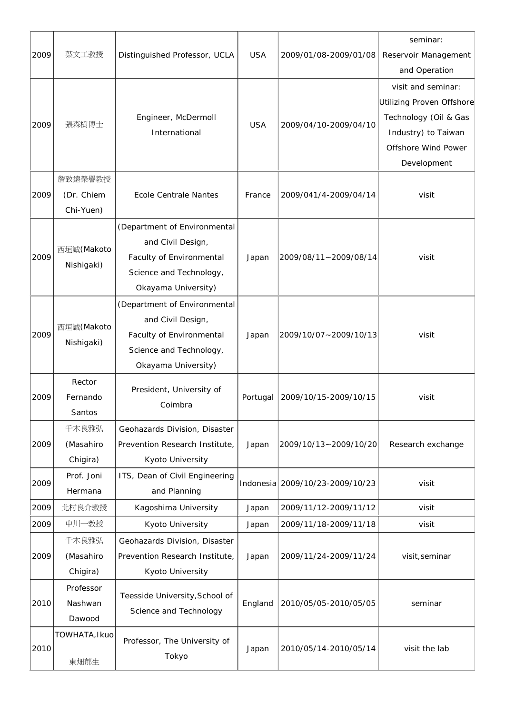| 2009 | 葉文工教授                              | Distinguished Professor, UCLA                                                                                                   | <b>USA</b> | 2009/01/08-2009/01/08           | seminar:<br>Reservoir Management<br>and Operation                                                                                     |
|------|------------------------------------|---------------------------------------------------------------------------------------------------------------------------------|------------|---------------------------------|---------------------------------------------------------------------------------------------------------------------------------------|
| 2009 | 張森樹博士                              | Engineer, McDermoll<br>International                                                                                            | <b>USA</b> | 2009/04/10-2009/04/10           | visit and seminar:<br>Utilizing Proven Offshore<br>Technology (Oil & Gas<br>Industry) to Taiwan<br>Offshore Wind Power<br>Development |
| 2009 | 詹致遠榮譽教授<br>(Dr. Chiem<br>Chi-Yuen) | <b>Ecole Centrale Nantes</b>                                                                                                    | France     | 2009/041/4-2009/04/14           | visit                                                                                                                                 |
| 2009 | 西垣誠(Makoto<br>Nishigaki)           | (Department of Environmental<br>and Civil Design,<br>Faculty of Environmental<br>Science and Technology,<br>Okayama University) | Japan      | 2009/08/11~2009/08/14           | visit                                                                                                                                 |
| 2009 | 西垣誠(Makoto<br>Nishigaki)           | (Department of Environmental<br>and Civil Design,<br>Faculty of Environmental<br>Science and Technology,<br>Okayama University) | Japan      | 2009/10/07~2009/10/13           | visit                                                                                                                                 |
| 2009 | Rector<br>Fernando<br>Santos       | President, University of<br>Coimbra                                                                                             | Portugal   | 2009/10/15-2009/10/15           | visit                                                                                                                                 |
| 2009 | 千木良雅弘<br>(Masahiro<br>Chigira)     | Geohazards Division, Disaster<br>Prevention Research Institute,<br>Kyoto University                                             | Japan      | 2009/10/13~2009/10/20           | Research exchange                                                                                                                     |
| 2009 | Prof. Joni<br>Hermana              | ITS, Dean of Civil Engineering<br>and Planning                                                                                  |            | Indonesia 2009/10/23-2009/10/23 | visit                                                                                                                                 |
| 2009 | 北村良介教授                             | Kagoshima University                                                                                                            | Japan      | 2009/11/12-2009/11/12           | visit                                                                                                                                 |
| 2009 | 中川一教授                              | Kyoto University                                                                                                                | Japan      | 2009/11/18-2009/11/18           | visit                                                                                                                                 |
| 2009 | 千木良雅弘<br>(Masahiro<br>Chigira)     | Geohazards Division, Disaster<br>Prevention Research Institute,<br>Kyoto University                                             | Japan      | 2009/11/24-2009/11/24           | visit, seminar                                                                                                                        |
| 2010 | Professor<br>Nashwan<br>Dawood     | Teesside University, School of<br>Science and Technology                                                                        | England    | 2010/05/05-2010/05/05           | seminar                                                                                                                               |
| 2010 | TOWHATA, Ikuo<br>東畑郁生              | Professor, The University of<br>Tokyo                                                                                           | Japan      | 2010/05/14-2010/05/14           | visit the lab                                                                                                                         |